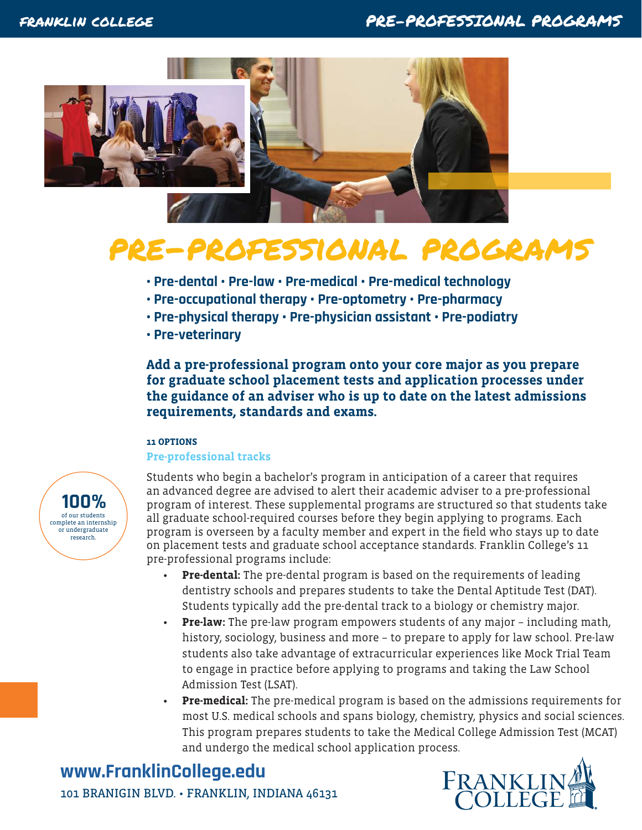

# pre-professional programs

- **Pre-dental Pre-law Pre-medical Pre-medical technology**
- **Pre-occupational therapy Pre-optometry Pre-pharmacy**
- **Pre-physical therapy Pre-physician assistant Pre-podiatry**
- **Pre-veterinary**

**Add a pre-professional program onto your core major as you prepare for graduate school placement tests and application processes under the guidance of an adviser who is up to date on the latest admissions requirements, standards and exams.**

#### **11 OPTIONS**

#### **Pre-professional tracks**



Students who begin a bachelor's program in anticipation of a career that requires an advanced degree are advised to alert their academic adviser to a pre-professional program of interest. These supplemental programs are structured so that students take all graduate school-required courses before they begin applying to programs. Each program is overseen by a faculty member and expert in the field who stays up to date on placement tests and graduate school acceptance standards. Franklin College's 11 pre-professional programs include:

- **Pre-dental:** The pre-dental program is based on the requirements of leading dentistry schools and prepares students to take the Dental Aptitude Test (DAT). Students typically add the pre-dental track to a biology or chemistry major.
- **Pre-law:** The pre-law program empowers students of any major including math, history, sociology, business and more – to prepare to apply for law school. Pre-law students also take advantage of extracurricular experiences like Mock Trial Team to engage in practice before applying to programs and taking the Law School Admission Test (LSAT).
- **Pre-medical:** The pre-medical program is based on the admissions requirements for most U.S. medical schools and spans biology, chemistry, physics and social sciences. This program prepares students to take the Medical College Admission Test (MCAT) and undergo the medical school application process.

### **www.FranklinCollege.edu** 101 BRANIGIN BLVD. • FRANKLIN, INDIANA 46131